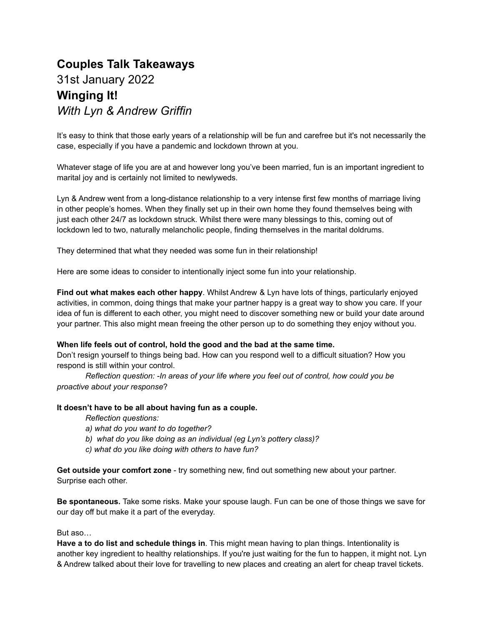## **Couples Talk Takeaways** 31st January 2022 **Winging It!** *With Lyn & Andrew Griffin*

It's easy to think that those early years of a relationship will be fun and carefree but it's not necessarily the case, especially if you have a pandemic and lockdown thrown at you.

Whatever stage of life you are at and however long you've been married, fun is an important ingredient to marital joy and is certainly not limited to newlyweds.

Lyn & Andrew went from a long-distance relationship to a very intense first few months of marriage living in other people's homes. When they finally set up in their own home they found themselves being with just each other 24/7 as lockdown struck. Whilst there were many blessings to this, coming out of lockdown led to two, naturally melancholic people, finding themselves in the marital doldrums.

They determined that what they needed was some fun in their relationship!

Here are some ideas to consider to intentionally inject some fun into your relationship.

**Find out what makes each other happy**. Whilst Andrew & Lyn have lots of things, particularly enjoyed activities, in common, doing things that make your partner happy is a great way to show you care. If your idea of fun is different to each other, you might need to discover something new or build your date around your partner. This also might mean freeing the other person up to do something they enjoy without you.

## **When life feels out of control, hold the good and the bad at the same time.**

Don't resign yourself to things being bad. How can you respond well to a difficult situation? How you respond is still within your control.

*Reflection question: -In areas of your life where you feel out of control, how could you be proactive about your response*?

## **It doesn't have to be all about having fun as a couple.**

*Reflection questions:*

- *a) what do you want to do together?*
- *b) what do you like doing as an individual (eg Lyn's pottery class)?*
- *c) what do you like doing with others to have fun?*

**Get outside your comfort zone** - try something new, find out something new about your partner. Surprise each other.

**Be spontaneous.** Take some risks. Make your spouse laugh. Fun can be one of those things we save for our day off but make it a part of the everyday.

But aso…

**Have a to do list and schedule things in**. This might mean having to plan things. Intentionality is another key ingredient to healthy relationships. If you're just waiting for the fun to happen, it might not. Lyn & Andrew talked about their love for travelling to new places and creating an alert for cheap travel tickets.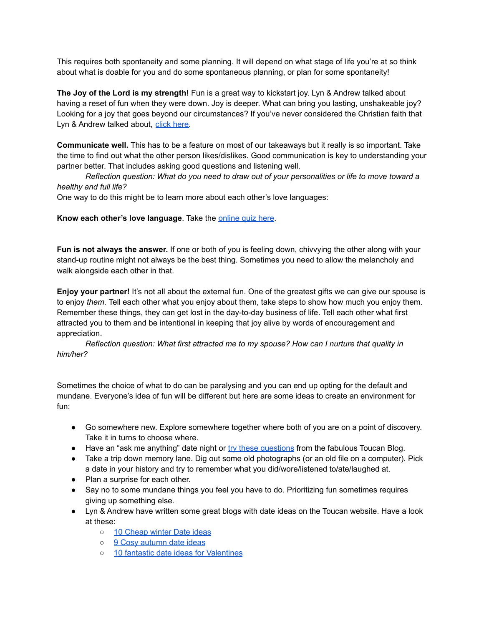This requires both spontaneity and some planning. It will depend on what stage of life you're at so think about what is doable for you and do some spontaneous planning, or plan for some spontaneity!

**The Joy of the Lord is my strength!** Fun is a great way to kickstart joy. Lyn & Andrew talked about having a reset of fun when they were down. Joy is deeper. What can bring you lasting, unshakeable joy? Looking for a joy that goes beyond our circumstances? If you've never considered the Christian faith that Lyn & Andrew talked about, click [here.](https://familylifeuk.org/wp-content/uploads/Knowing-God-Personally-FamilyLife-digital-version.pdf)

**Communicate well.** This has to be a feature on most of our takeaways but it really is so important. Take the time to find out what the other person likes/dislikes. Good communication is key to understanding your partner better. That includes asking good questions and listening well.

*Reflection question: What do you need to draw out of your personalities or life to move toward a healthy and full life?*

One way to do this might be to learn more about each other's love languages:

**Know each other's love language**. Take the [online](https://www.5lovelanguages.com) quiz here.

**Fun is not always the answer.** If one or both of you is feeling down, chivvying the other along with your stand-up routine might not always be the best thing. Sometimes you need to allow the melancholy and walk alongside each other in that.

**Enjoy your partner!** It's not all about the external fun. One of the greatest gifts we can give our spouse is to enjoy *them.* Tell each other what you enjoy about them, take steps to show how much you enjoy them. Remember these things, they can get lost in the day-to-day business of life. Tell each other what first attracted you to them and be intentional in keeping that joy alive by words of encouragement and appreciation.

*Reflection question: What first attracted me to my spouse? How can I nurture that quality in him/her?*

Sometimes the choice of what to do can be paralysing and you can end up opting for the default and mundane. Everyone's idea of fun will be different but here are some ideas to create an environment for fun:

- Go somewhere new. Explore somewhere together where both of you are on a point of discovery. Take it in turns to choose where.
- Have an "ask me anything" date night or try these [questions](https://toucantogether.com/blog/great-questions-for-date-nights) from the fabulous Toucan Blog.
- Take a trip down memory lane. Dig out some old photographs (or an old file on a computer). Pick a date in your history and try to remember what you did/wore/listened to/ate/laughed at.
- Plan a surprise for each other.
- Say no to some mundane things you feel you have to do. Prioritizing fun sometimes requires giving up something else.
- Lyn & Andrew have written some great blogs with date ideas on the Toucan website. Have a look at these:
	- 10 [Cheap](https://toucantogether.com/blog/10-cheap-winter-date-ideas) winter Date ideas
	- o 9 Cosy [autumn](https://toucantogether.com/blog/9-cosy-date-ideas-for-autumn) date ideas
	- 10 fantastic date ideas for [Valentines](https://toucantogether.com/blog/10-fantastic-date-ideas-for-valentines-and-beyond)